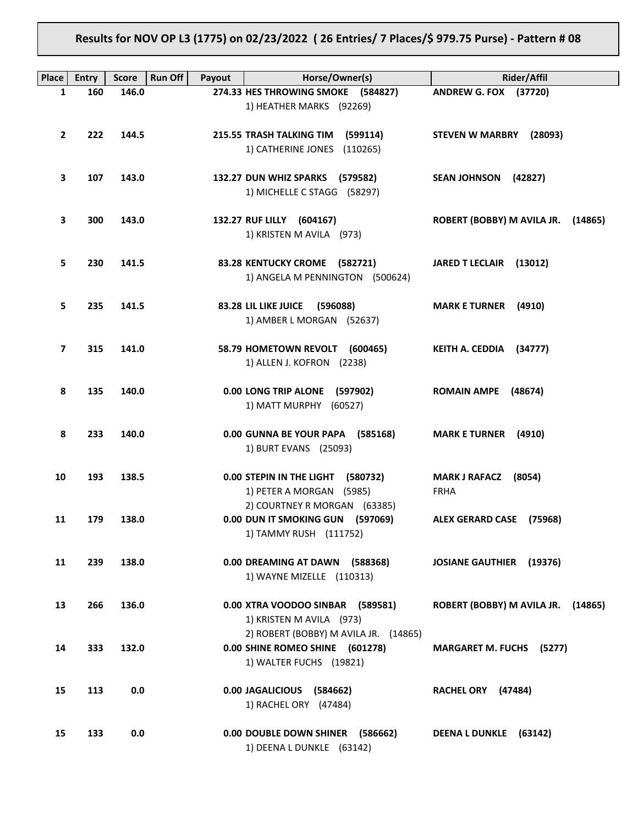# **Results for NOV OP L3 (1775) on 02/23/2022 ( 26 Entries/ 7 Places/\$ 979.75 Purse) - Pattern # 08**

| Place        | Entry | Run Off<br><b>Score</b> | Payout | Horse/Owner(s)                                                                                      | <b>Rider/Affil</b>                            |
|--------------|-------|-------------------------|--------|-----------------------------------------------------------------------------------------------------|-----------------------------------------------|
| 1            | 160   | 146.0                   |        | 274.33 HES THROWING SMOKE (584827)<br>1) HEATHER MARKS (92269)                                      | ANDREW G. FOX (37720)                         |
| $\mathbf{2}$ | 222   | 144.5                   |        | 215.55 TRASH TALKING TIM<br>(599114)<br>1) CATHERINE JONES<br>(110265)                              | <b>STEVEN W MARBRY</b><br>(28093)             |
| 3            | 107   | 143.0                   |        | 132.27 DUN WHIZ SPARKS (579582)<br>1) MICHELLE C STAGG (58297)                                      | <b>SEAN JOHNSON</b><br>(42827)                |
| 3            | 300   | 143.0                   |        | 132.27 RUF LILLY (604167)<br>1) KRISTEN M AVILA (973)                                               | ROBERT (BOBBY) M AVILA JR.<br>(14865)         |
| 5            | 230   | 141.5                   |        | 83.28 KENTUCKY CROME (582721)<br>1) ANGELA M PENNINGTON (500624)                                    | JARED T LECLAIR (13012)                       |
| 5            | 235   | 141.5                   |        | 83.28 LIL LIKE JUICE<br>(596088)<br>1) AMBER L MORGAN (52637)                                       | <b>MARK E TURNER</b><br>(4910)                |
| 7            | 315   | 141.0                   |        | 58.79 HOMETOWN REVOLT<br>(600465)<br>1) ALLEN J. KOFRON (2238)                                      | KEITH A. CEDDIA (34777)                       |
| 8            | 135   | 140.0                   |        | 0.00 LONG TRIP ALONE (597902)<br>1) MATT MURPHY (60527)                                             | <b>ROMAIN AMPE</b><br>(48674)                 |
| 8            | 233   | 140.0                   |        | 0.00 GUNNA BE YOUR PAPA (585168)<br>1) BURT EVANS (25093)                                           | <b>MARK E TURNER</b><br>(4910)                |
| 10           | 193   | 138.5                   |        | 0.00 STEPIN IN THE LIGHT<br>(580732)<br>1) PETER A MORGAN (5985)                                    | <b>MARK J RAFACZ</b><br>(8054)<br><b>FRHA</b> |
| 11           | 179   | 138.0                   |        | 2) COURTNEY R MORGAN (63385)<br>0.00 DUN IT SMOKING GUN (597069)<br>1) TAMMY RUSH (111752)          | ALEX GERARD CASE (75968)                      |
| 11           | 239   | 138.0                   |        | 0.00 DREAMING AT DAWN (588368)<br>1) WAYNE MIZELLE (110313)                                         | JOSIANE GAUTHIER (19376)                      |
| 13           | 266   | 136.0                   |        | 0.00 XTRA VOODOO SINBAR (589581)<br>1) KRISTEN M AVILA (973)                                        | ROBERT (BOBBY) M AVILA JR. (14865)            |
| 14           | 333   | 132.0                   |        | 2) ROBERT (BOBBY) M AVILA JR. (14865)<br>0.00 SHINE ROMEO SHINE (601278)<br>1) WALTER FUCHS (19821) | <b>MARGARET M. FUCHS (5277)</b>               |
| 15           | 113   | $0.0\,$                 |        | 0.00 JAGALICIOUS (584662)<br>1) RACHEL ORY (47484)                                                  | RACHEL ORY (47484)                            |
| 15           | 133   | 0.0                     |        | 0.00 DOUBLE DOWN SHINER<br>(586662)<br>1) DEENA L DUNKLE (63142)                                    | DEENA L DUNKLE (63142)                        |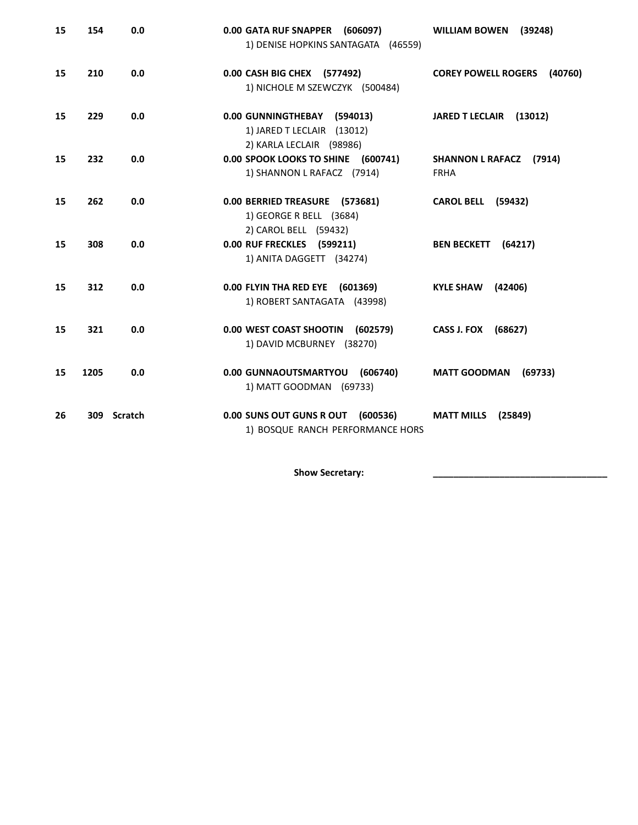| 15 | 154  | 0.0         | 0.00 GATA RUF SNAPPER (606097)<br>1) DENISE HOPKINS SANTAGATA (46559)                 | <b>WILLIAM BOWEN</b><br>(39248)                  |
|----|------|-------------|---------------------------------------------------------------------------------------|--------------------------------------------------|
| 15 | 210  | 0.0         | 0.00 CASH BIG CHEX (577492)<br>1) NICHOLE M SZEWCZYK (500484)                         | <b>COREY POWELL ROGERS</b><br>(40760)            |
| 15 | 229  | 0.0         | 0.00 GUNNINGTHEBAY (594013)<br>1) JARED T LECLAIR (13012)<br>2) KARLA LECLAIR (98986) | JARED T LECLAIR (13012)                          |
| 15 | 232  | 0.0         | 0.00 SPOOK LOOKS TO SHINE (600741)<br>1) SHANNON L RAFACZ (7914)                      | <b>SHANNON L RAFACZ</b><br>(7914)<br><b>FRHA</b> |
| 15 | 262  | 0.0         | 0.00 BERRIED TREASURE (573681)<br>1) GEORGE R BELL (3684)<br>2) CAROL BELL (59432)    | <b>CAROL BELL (59432)</b>                        |
| 15 | 308  | 0.0         | 0.00 RUF FRECKLES (599211)<br>1) ANITA DAGGETT (34274)                                | BEN BECKETT (64217)                              |
| 15 | 312  | 0.0         | 0.00 FLYIN THA RED EYE (601369)<br>1) ROBERT SANTAGATA (43998)                        | <b>KYLE SHAW</b><br>(42406)                      |
| 15 | 321  | 0.0         | 0.00 WEST COAST SHOOTIN (602579)<br>1) DAVID MCBURNEY (38270)                         | CASS J. FOX (68627)                              |
| 15 | 1205 | 0.0         | 0.00 GUNNAOUTSMARTYOU (606740)<br>1) MATT GOODMAN (69733)                             | <b>MATT GOODMAN</b><br>(69733)                   |
| 26 |      | 309 Scratch | 0.00 SUNS OUT GUNS R OUT (600536)<br>1) BOSQUE RANCH PERFORMANCE HORS                 | <b>MATT MILLS</b><br>(25849)                     |

Show Secretary: